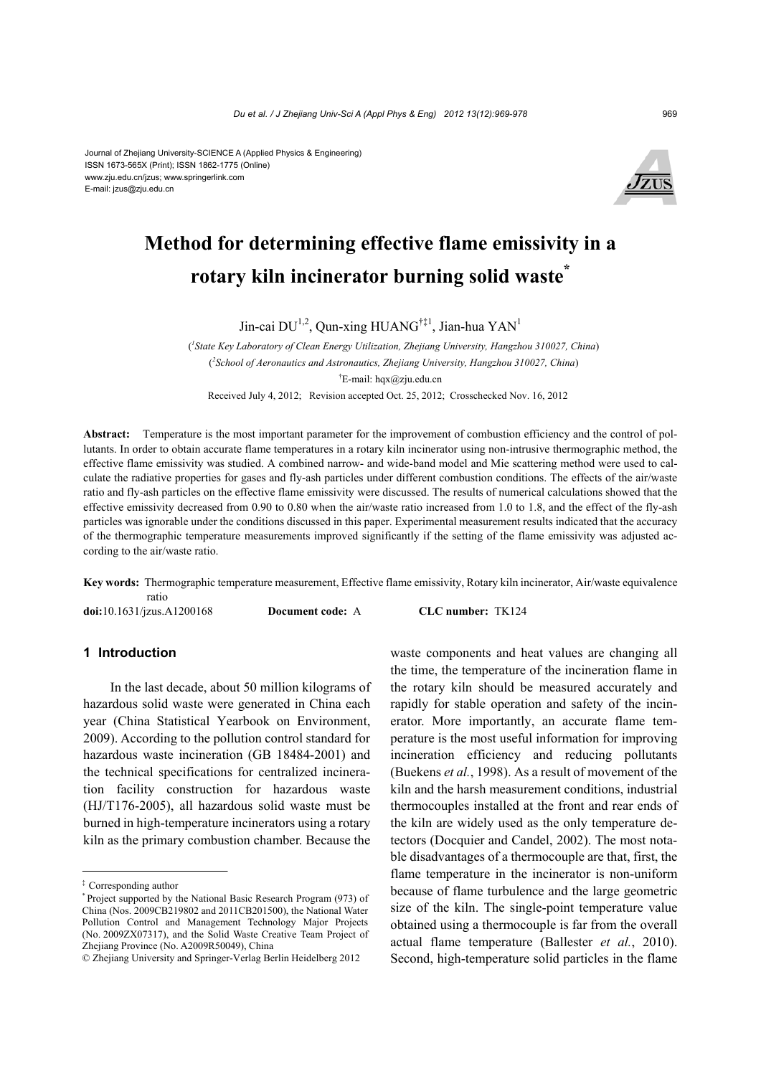#### Journal of Zhejiang University-SCIENCE A (Applied Physics & Engineering) ISSN 1673-565X (Print); ISSN 1862-1775 (Online) www.zju.edu.cn/jzus; www.springerlink.com E-mail: jzus@zju.edu.cn



# **Method for determining effective flame emissivity in a rotary kiln incinerator burning solid waste\***

Jin-cai  $DU^{1,2}$ , Qun-xing HUANG<sup>†‡1</sup>, Jian-hua YAN<sup>1</sup>

( *1 State Key Laboratory of Clean Energy Utilization, Zhejiang University, Hangzhou 310027, China*) ( *2 School of Aeronautics and Astronautics, Zhejiang University, Hangzhou 310027, China*) † E-mail: hqx@zju.edu.cn Received July 4, 2012; Revision accepted Oct. 25, 2012; Crosschecked Nov. 16, 2012

**Abstract:** Temperature is the most important parameter for the improvement of combustion efficiency and the control of pollutants. In order to obtain accurate flame temperatures in a rotary kiln incinerator using non-intrusive thermographic method, the effective flame emissivity was studied. A combined narrow- and wide-band model and Mie scattering method were used to calculate the radiative properties for gases and fly-ash particles under different combustion conditions. The effects of the air/waste ratio and fly-ash particles on the effective flame emissivity were discussed. The results of numerical calculations showed that the effective emissivity decreased from 0.90 to 0.80 when the air/waste ratio increased from 1.0 to 1.8, and the effect of the fly-ash particles was ignorable under the conditions discussed in this paper. Experimental measurement results indicated that the accuracy of the thermographic temperature measurements improved significantly if the setting of the flame emissivity was adjusted according to the air/waste ratio.

**Key words:** Thermographic temperature measurement, Effective flame emissivity, Rotary kiln incinerator, Air/waste equivalence ratio **doi:**10.1631/jzus.A1200168 **Document code:** A **CLC number:** TK124

**1 Introduction** 

In the last decade, about 50 million kilograms of hazardous solid waste were generated in China each year (China Statistical Yearbook on Environment, 2009). According to the pollution control standard for hazardous waste incineration (GB 18484-2001) and the technical specifications for centralized incineration facility construction for hazardous waste (HJ/T176-2005), all hazardous solid waste must be burned in high-temperature incinerators using a rotary kiln as the primary combustion chamber. Because the

‡ Corresponding author

waste components and heat values are changing all the time, the temperature of the incineration flame in the rotary kiln should be measured accurately and rapidly for stable operation and safety of the incinerator. More importantly, an accurate flame temperature is the most useful information for improving incineration efficiency and reducing pollutants (Buekens *et al.*, 1998). As a result of movement of the kiln and the harsh measurement conditions, industrial thermocouples installed at the front and rear ends of the kiln are widely used as the only temperature detectors (Docquier and Candel, 2002). The most notable disadvantages of a thermocouple are that, first, the flame temperature in the incinerator is non-uniform because of flame turbulence and the large geometric size of the kiln. The single-point temperature value obtained using a thermocouple is far from the overall actual flame temperature (Ballester *et al.*, 2010). Second, high-temperature solid particles in the flame

<sup>\*</sup> Project supported by the National Basic Research Program (973) of China (Nos. 2009CB219802 and 2011CB201500), the National Water Pollution Control and Management Technology Major Projects (No. 2009ZX07317), and the Solid Waste Creative Team Project of Zhejiang Province (No. A2009R50049), China

<sup>©</sup> Zhejiang University and Springer-Verlag Berlin Heidelberg 2012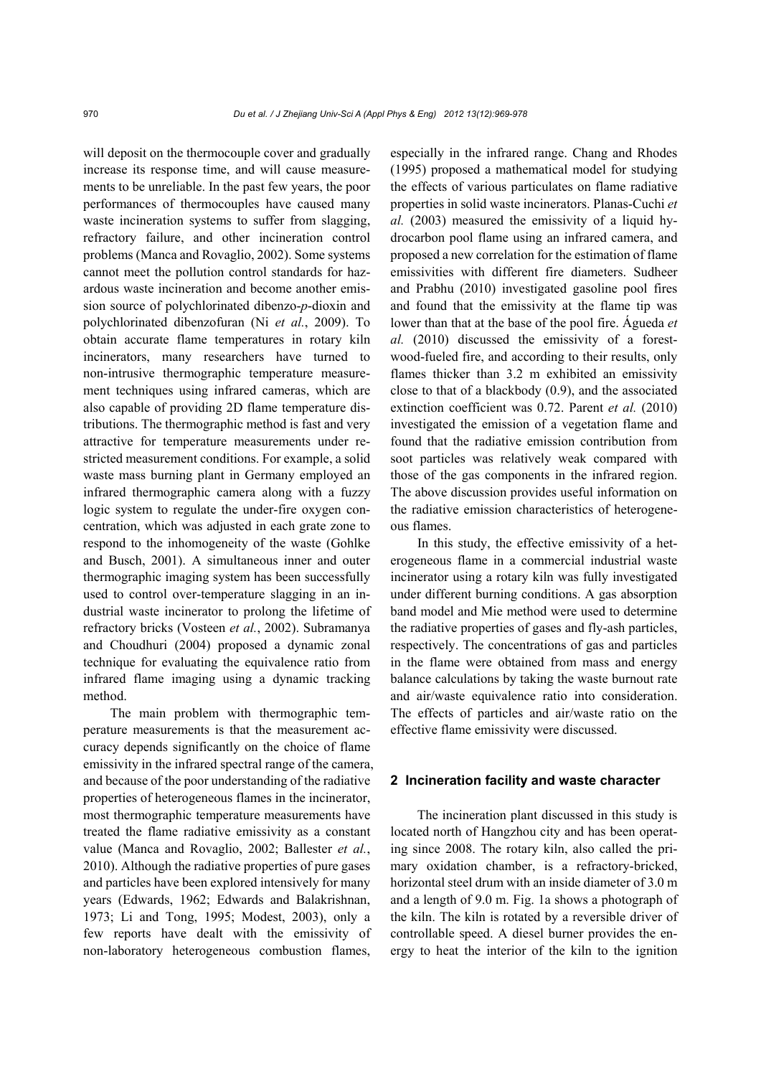will deposit on the thermocouple cover and gradually increase its response time, and will cause measurements to be unreliable. In the past few years, the poor performances of thermocouples have caused many waste incineration systems to suffer from slagging, refractory failure, and other incineration control problems (Manca and Rovaglio, 2002). Some systems cannot meet the pollution control standards for hazardous waste incineration and become another emission source of polychlorinated dibenzo-*p*-dioxin and polychlorinated dibenzofuran (Ni *et al.*, 2009). To obtain accurate flame temperatures in rotary kiln incinerators, many researchers have turned to non-intrusive thermographic temperature measurement techniques using infrared cameras, which are also capable of providing 2D flame temperature distributions. The thermographic method is fast and very attractive for temperature measurements under restricted measurement conditions. For example, a solid waste mass burning plant in Germany employed an infrared thermographic camera along with a fuzzy logic system to regulate the under-fire oxygen concentration, which was adjusted in each grate zone to respond to the inhomogeneity of the waste (Gohlke and Busch, 2001). A simultaneous inner and outer thermographic imaging system has been successfully used to control over-temperature slagging in an industrial waste incinerator to prolong the lifetime of refractory bricks (Vosteen *et al.*, 2002). Subramanya and Choudhuri (2004) proposed a dynamic zonal technique for evaluating the equivalence ratio from infrared flame imaging using a dynamic tracking method.

The main problem with thermographic temperature measurements is that the measurement accuracy depends significantly on the choice of flame emissivity in the infrared spectral range of the camera, and because of the poor understanding of the radiative properties of heterogeneous flames in the incinerator, most thermographic temperature measurements have treated the flame radiative emissivity as a constant value (Manca and Rovaglio, 2002; Ballester *et al.*, 2010). Although the radiative properties of pure gases and particles have been explored intensively for many years (Edwards, 1962; Edwards and Balakrishnan, 1973; Li and Tong, 1995; Modest, 2003), only a few reports have dealt with the emissivity of non-laboratory heterogeneous combustion flames,

especially in the infrared range. Chang and Rhodes (1995) proposed a mathematical model for studying the effects of various particulates on flame radiative properties in solid waste incinerators. Planas-Cuchi *et al.* (2003) measured the emissivity of a liquid hydrocarbon pool flame using an infrared camera, and proposed a new correlation for the estimation of flame emissivities with different fire diameters. Sudheer and Prabhu (2010) investigated gasoline pool fires and found that the emissivity at the flame tip was lower than that at the base of the pool fire. Águeda *et al.* (2010) discussed the emissivity of a forestwood-fueled fire, and according to their results, only flames thicker than 3.2 m exhibited an emissivity close to that of a blackbody (0.9), and the associated extinction coefficient was 0.72. Parent *et al.* (2010) investigated the emission of a vegetation flame and found that the radiative emission contribution from soot particles was relatively weak compared with those of the gas components in the infrared region. The above discussion provides useful information on the radiative emission characteristics of heterogeneous flames.

In this study, the effective emissivity of a heterogeneous flame in a commercial industrial waste incinerator using a rotary kiln was fully investigated under different burning conditions. A gas absorption band model and Mie method were used to determine the radiative properties of gases and fly-ash particles, respectively. The concentrations of gas and particles in the flame were obtained from mass and energy balance calculations by taking the waste burnout rate and air/waste equivalence ratio into consideration. The effects of particles and air/waste ratio on the effective flame emissivity were discussed.

## **2 Incineration facility and waste character**

The incineration plant discussed in this study is located north of Hangzhou city and has been operating since 2008. The rotary kiln, also called the primary oxidation chamber, is a refractory-bricked, horizontal steel drum with an inside diameter of 3.0 m and a length of 9.0 m. Fig. 1a shows a photograph of the kiln. The kiln is rotated by a reversible driver of controllable speed. A diesel burner provides the energy to heat the interior of the kiln to the ignition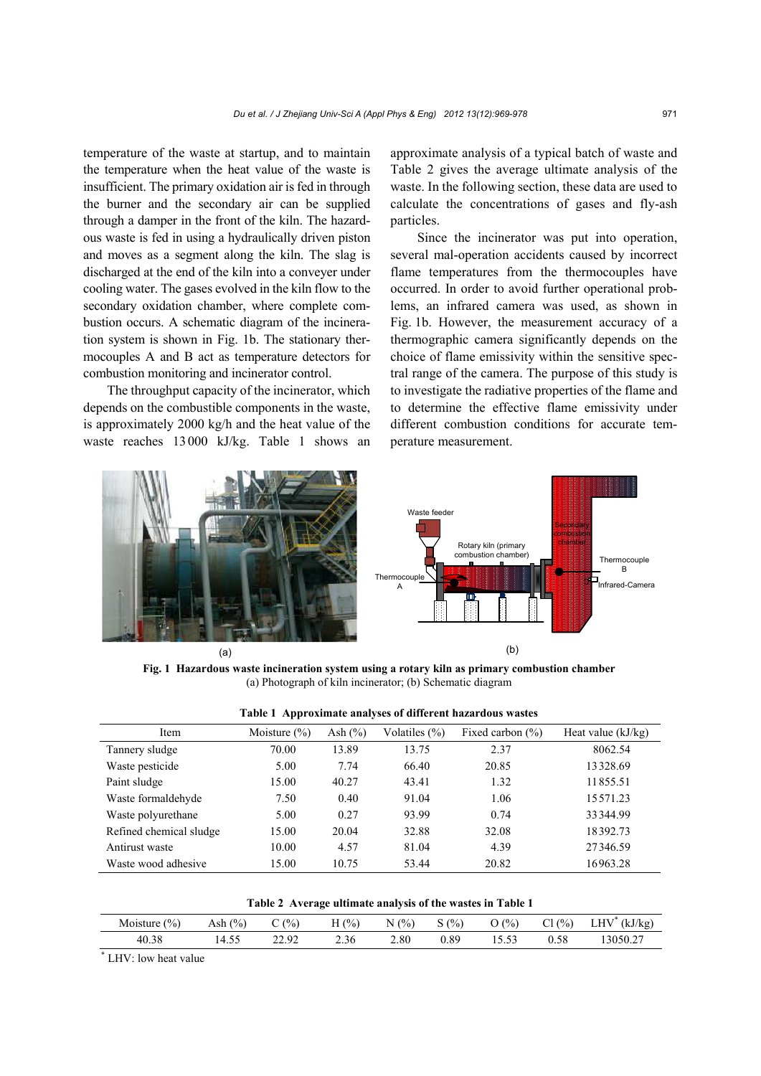temperature of the waste at startup, and to maintain the temperature when the heat value of the waste is insufficient. The primary oxidation air is fed in through the burner and the secondary air can be supplied through a damper in the front of the kiln. The hazardous waste is fed in using a hydraulically driven piston and moves as a segment along the kiln. The slag is discharged at the end of the kiln into a conveyer under cooling water. The gases evolved in the kiln flow to the secondary oxidation chamber, where complete combustion occurs. A schematic diagram of the incineration system is shown in Fig. 1b. The stationary thermocouples A and B act as temperature detectors for combustion monitoring and incinerator control.

The throughput capacity of the incinerator, which depends on the combustible components in the waste, is approximately 2000 kg/h and the heat value of the waste reaches 13000 kJ/kg. Table 1 shows an approximate analysis of a typical batch of waste and Table 2 gives the average ultimate analysis of the waste. In the following section, these data are used to calculate the concentrations of gases and fly-ash particles.

Since the incinerator was put into operation, several mal-operation accidents caused by incorrect flame temperatures from the thermocouples have occurred. In order to avoid further operational problems, an infrared camera was used, as shown in Fig. 1b. However, the measurement accuracy of a thermographic camera significantly depends on the choice of flame emissivity within the sensitive spectral range of the camera. The purpose of this study is to investigate the radiative properties of the flame and to determine the effective flame emissivity under different combustion conditions for accurate temperature measurement.



**Fig. 1 Hazardous waste incineration system using a rotary kiln as primary combustion chamber**  (a) Photograph of kiln incinerator; (b) Schematic diagram

| $\ldots$                |                  |             |                  |                      |                      |  |  |  |  |  |  |
|-------------------------|------------------|-------------|------------------|----------------------|----------------------|--|--|--|--|--|--|
| Item                    | Moisture $(\% )$ | Ash $(\% )$ | Volatiles $(\%)$ | Fixed carbon $(\% )$ | Heat value $(kJ/kg)$ |  |  |  |  |  |  |
| Tannery sludge          | 70.00            | 13.89       | 13.75            | 2.37                 | 8062.54              |  |  |  |  |  |  |
| Waste pesticide         | 5.00             | 7.74        | 66.40            | 20.85                | 13328.69             |  |  |  |  |  |  |
| Paint sludge            | 15.00            | 40.27       | 43.41            | 1.32                 | 11855.51             |  |  |  |  |  |  |
| Waste formaldehyde      | 7.50             | 0.40        | 91.04            | 1.06                 | 15571.23             |  |  |  |  |  |  |
| Waste polyurethane      | 5.00             | 0.27        | 93.99            | 0.74                 | 33344.99             |  |  |  |  |  |  |
| Refined chemical sludge | 15.00            | 20.04       | 32.88            | 32.08                | 18392.73             |  |  |  |  |  |  |
|                         |                  |             |                  |                      |                      |  |  |  |  |  |  |

Antirust waste 10.00 4.57 81.04 4.39 27346.59 Waste wood adhesive 15.00 10.75 53.44 20.82 16963.28

**Table 1 Approximate analyses of different hazardous wastes** 

**Table 2 Average ultimate analysis of the wastes in Table 1** 

| (%)<br>Moisture | (0)<br>Ash | (%)            | $H(\%)$ | N(%  | (%)  | (%)   | $Cl($ % $)$ | (kJ/kg)<br>LHV <sup></sup> |
|-----------------|------------|----------------|---------|------|------|-------|-------------|----------------------------|
| 40.38           | 14.55      | າາ ດາ<br>44.JL | 2.36    | 2.80 | 89.ر | 15.53 | $_{0.58}$   | 3050.27                    |

\* LHV: low heat value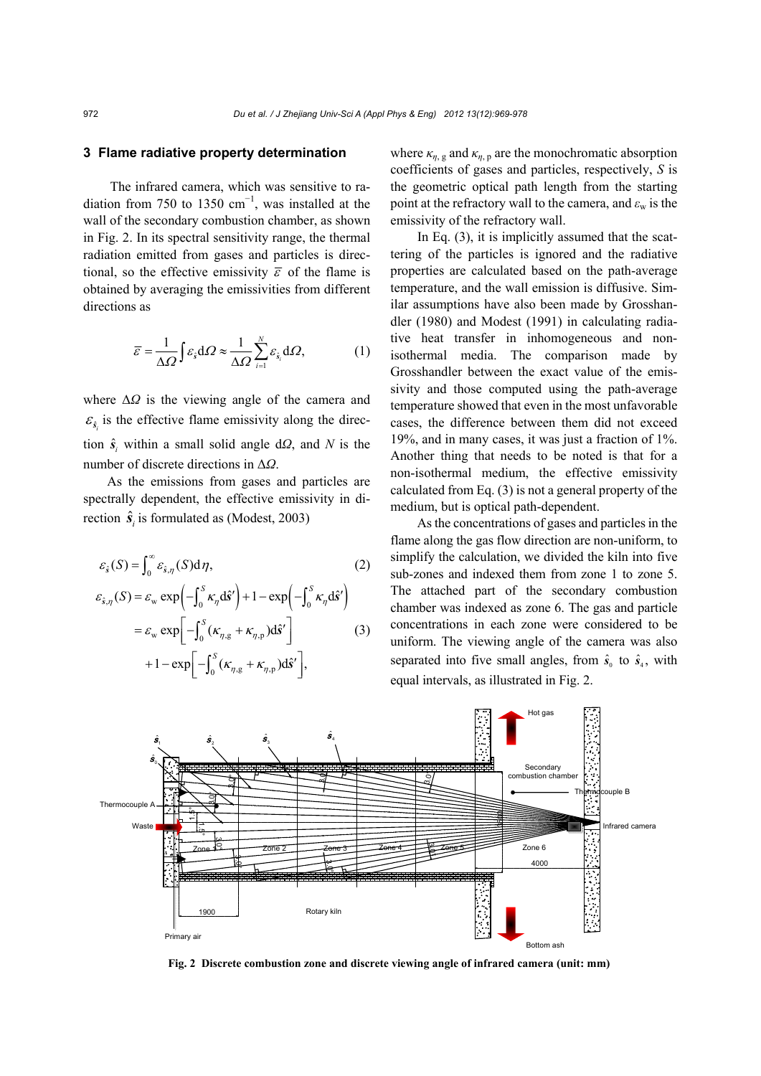### **3 Flame radiative property determination**

The infrared camera, which was sensitive to radiation from 750 to 1350  $cm^{-1}$ , was installed at the wall of the secondary combustion chamber, as shown in Fig. 2. In its spectral sensitivity range, the thermal radiation emitted from gases and particles is directional, so the effective emissivity  $\overline{\varepsilon}$  of the flame is obtained by averaging the emissivities from different directions as

$$
\overline{\varepsilon} = \frac{1}{\Delta \Omega} \int \varepsilon_{\hat{s}} d\Omega \approx \frac{1}{\Delta \Omega} \sum_{i=1}^{N} \varepsilon_{\hat{s}_i} d\Omega, \tag{1}
$$

where  $\Delta\Omega$  is the viewing angle of the camera and  $\varepsilon_{\hat{s}_i}$  is the effective flame emissivity along the direction  $\hat{s}$  within a small solid angle d $\Omega$ , and  $N$  is the number of discrete directions in Δ*Ω*.

As the emissions from gases and particles are spectrally dependent, the effective emissivity in direction  $\hat{\mathbf{s}}_i$  is formulated as (Modest, 2003)

$$
\varepsilon_{\hat{s}}(S) = \int_0^\infty \varepsilon_{\hat{s},\eta}(S) d\eta, \qquad (2)
$$
\n
$$
\varepsilon_{\hat{s},\eta}(S) = \varepsilon_{\rm w} \exp\left(-\int_0^S \kappa_\eta \, d\hat{s}'\right) + 1 - \exp\left(-\int_0^S \kappa_\eta \, d\hat{s}'\right)
$$
\n
$$
= \varepsilon_{\rm w} \exp\left[-\int_0^S (\kappa_{\eta,g} + \kappa_{\eta,p}) d\hat{s}'\right] \qquad (3)
$$
\n
$$
+ 1 - \exp\left[-\int_0^S (\kappa_{\eta,g} + \kappa_{\eta,p}) d\hat{s}'\right],
$$

where  $\kappa_{\eta, g}$  and  $\kappa_{\eta, p}$  are the monochromatic absorption coefficients of gases and particles, respectively, *S* is the geometric optical path length from the starting point at the refractory wall to the camera, and  $\varepsilon_w$  is the emissivity of the refractory wall.

In Eq. (3), it is implicitly assumed that the scattering of the particles is ignored and the radiative properties are calculated based on the path-average temperature, and the wall emission is diffusive. Similar assumptions have also been made by Grosshandler (1980) and Modest (1991) in calculating radiative heat transfer in inhomogeneous and nonisothermal media. The comparison made by Grosshandler between the exact value of the emissivity and those computed using the path-average temperature showed that even in the most unfavorable cases, the difference between them did not exceed 19%, and in many cases, it was just a fraction of 1%. Another thing that needs to be noted is that for a non-isothermal medium, the effective emissivity calculated from Eq. (3) is not a general property of the medium, but is optical path-dependent.

As the concentrations of gases and particles in the flame along the gas flow direction are non-uniform, to simplify the calculation, we divided the kiln into five sub-zones and indexed them from zone 1 to zone 5. The attached part of the secondary combustion chamber was indexed as zone 6. The gas and particle concentrations in each zone were considered to be uniform. The viewing angle of the camera was also separated into five small angles, from  $\hat{s}_0$  to  $\hat{s}_4$ , with equal intervals, as illustrated in Fig. 2.



**Fig. 2 Discrete combustion zone and discrete viewing angle of infrared camera (unit: mm)**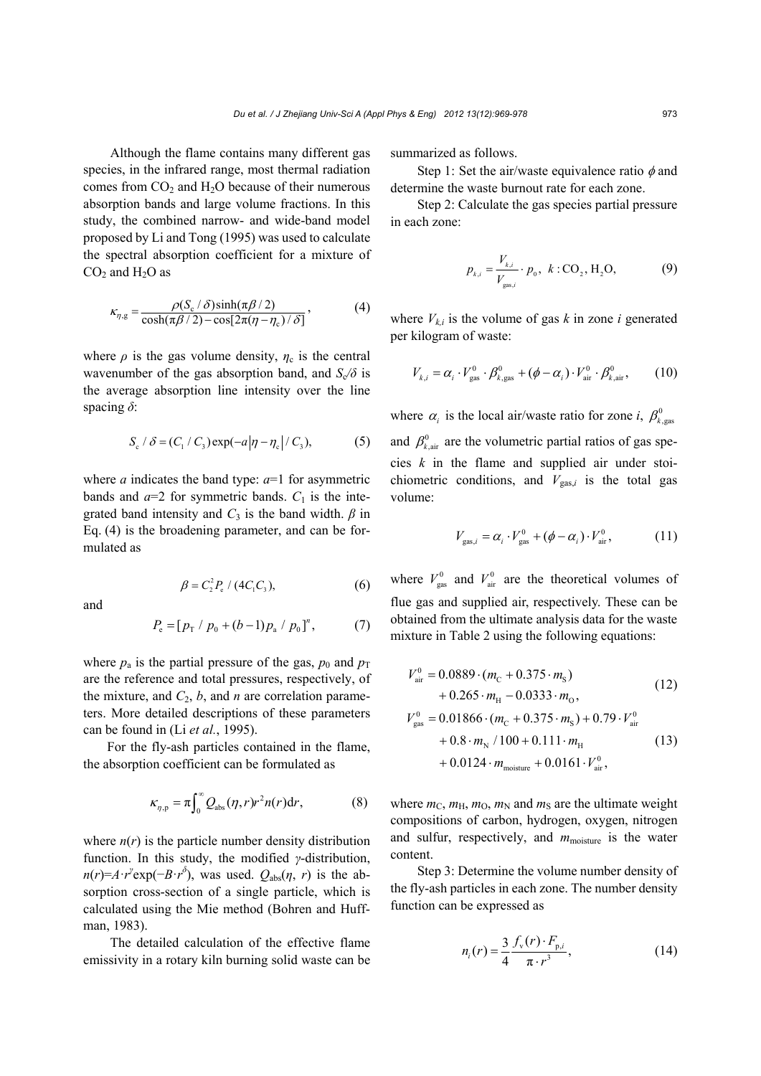Although the flame contains many different gas species, in the infrared range, most thermal radiation comes from  $CO<sub>2</sub>$  and  $H<sub>2</sub>O$  because of their numerous absorption bands and large volume fractions. In this study, the combined narrow- and wide-band model proposed by Li and Tong (1995) was used to calculate the spectral absorption coefficient for a mixture of  $CO<sub>2</sub>$  and  $H<sub>2</sub>O$  as

$$
\kappa_{\eta,g} = \frac{\rho(S_c/\delta)\sinh(\pi\beta/2)}{\cosh(\pi\beta/2) - \cos[2\pi(\eta - \eta_c)/\delta]},
$$
(4)

where  $\rho$  is the gas volume density,  $\eta_c$  is the central wavenumber of the gas absorption band, and  $S_c/\delta$  is the average absorption line intensity over the line spacing *δ*:

$$
S_c / \delta = (C_1 / C_3) \exp(-a |\eta - \eta_c| / C_3),
$$
 (5)

where *a* indicates the band type: *a*=1 for asymmetric bands and  $a=2$  for symmetric bands.  $C_1$  is the integrated band intensity and  $C_3$  is the band width.  $\beta$  in Eq. (4) is the broadening parameter, and can be formulated as

and

$$
P_{\rm e} = [p_{\rm T} / p_0 + (b-1)p_{\rm a} / p_0]^n, \qquad (7)
$$

 $\beta = C_2^2 P_e / (4C_1 C_3),$  (6)

where  $p_a$  is the partial pressure of the gas,  $p_0$  and  $p_T$ are the reference and total pressures, respectively, of the mixture, and  $C_2$ ,  $b$ , and  $n$  are correlation parameters. More detailed descriptions of these parameters can be found in (Li *et al.*, 1995).

For the fly-ash particles contained in the flame, the absorption coefficient can be formulated as

$$
\kappa_{\eta, \mathbf{p}} = \pi \int_0^\infty Q_{\text{abs}}(\eta, r) r^2 n(r) \, \text{d}r,\tag{8}
$$

where  $n(r)$  is the particle number density distribution function. In this study, the modified *γ*-distribution,  $n(r) = A \cdot r^{\gamma} \exp(-B \cdot r^{\delta})$ , was used.  $Q_{\text{abs}}(\eta, r)$  is the absorption cross-section of a single particle, which is calculated using the Mie method (Bohren and Huffman, 1983).

The detailed calculation of the effective flame emissivity in a rotary kiln burning solid waste can be

summarized as follows.

Step 1: Set the air/waste equivalence ratio  $\phi$  and determine the waste burnout rate for each zone.

Step 2: Calculate the gas species partial pressure in each zone:

$$
p_{k,i} = \frac{V_{k,i}}{V_{\text{gas},i}} \cdot p_0, \ k: \text{CO}_2, \text{H}_2\text{O},\tag{9}
$$

where  $V_{k,i}$  is the volume of gas  $k$  in zone  $i$  generated per kilogram of waste:

$$
V_{k,i} = \alpha_i \cdot V_{\text{gas}}^0 \cdot \beta_{k,\text{gas}}^0 + (\phi - \alpha_i) \cdot V_{\text{air}}^0 \cdot \beta_{k,\text{air}}^0, \qquad (10)
$$

where  $\alpha_i$  is the local air/waste ratio for zone *i*,  $\beta_{k,\text{gas}}^0$ and  $\beta_{k \text{ air}}^0$  are the volumetric partial ratios of gas species *k* in the flame and supplied air under stoichiometric conditions, and  $V_{\text{gas},i}$  is the total gas volume:

$$
V_{\text{gas},i} = \alpha_i \cdot V_{\text{gas}}^0 + (\phi - \alpha_i) \cdot V_{\text{air}}^0, \qquad (11)
$$

where  $V_{\text{gas}}^0$  and  $V_{\text{air}}^0$  are the theoretical volumes of flue gas and supplied air, respectively. These can be obtained from the ultimate analysis data for the waste mixture in Table 2 using the following equations:

$$
V_{\text{air}}^{0} = 0.0889 \cdot (m_{\text{C}} + 0.375 \cdot m_{\text{s}})
$$
  
+ 0.265 \cdot m\_{\text{H}} - 0.0333 \cdot m\_{\text{o}},  

$$
V_{\text{gas}}^{0} = 0.01866 \cdot (m_{\text{C}} + 0.375 \cdot m_{\text{s}}) + 0.79 \cdot V_{\text{air}}^{0}
$$
  
+ 0.8 \cdot m\_{\text{N}} / 100 + 0.111 \cdot m\_{\text{H}} (13)  
+ 0.0124 \cdot m\_{\text{moisture}} + 0.0161 \cdot V\_{\text{air}}^{0},

where  $m<sub>C</sub>$ ,  $m<sub>H</sub>$ ,  $m<sub>O</sub>$ ,  $m<sub>N</sub>$  and  $m<sub>S</sub>$  are the ultimate weight compositions of carbon, hydrogen, oxygen, nitrogen and sulfur, respectively, and  $m_{\text{moisture}}$  is the water content.

Step 3: Determine the volume number density of the fly-ash particles in each zone. The number density function can be expressed as

$$
n_i(r) = \frac{3}{4} \frac{f_v(r) \cdot F_{p,i}}{\pi \cdot r^3},
$$
 (14)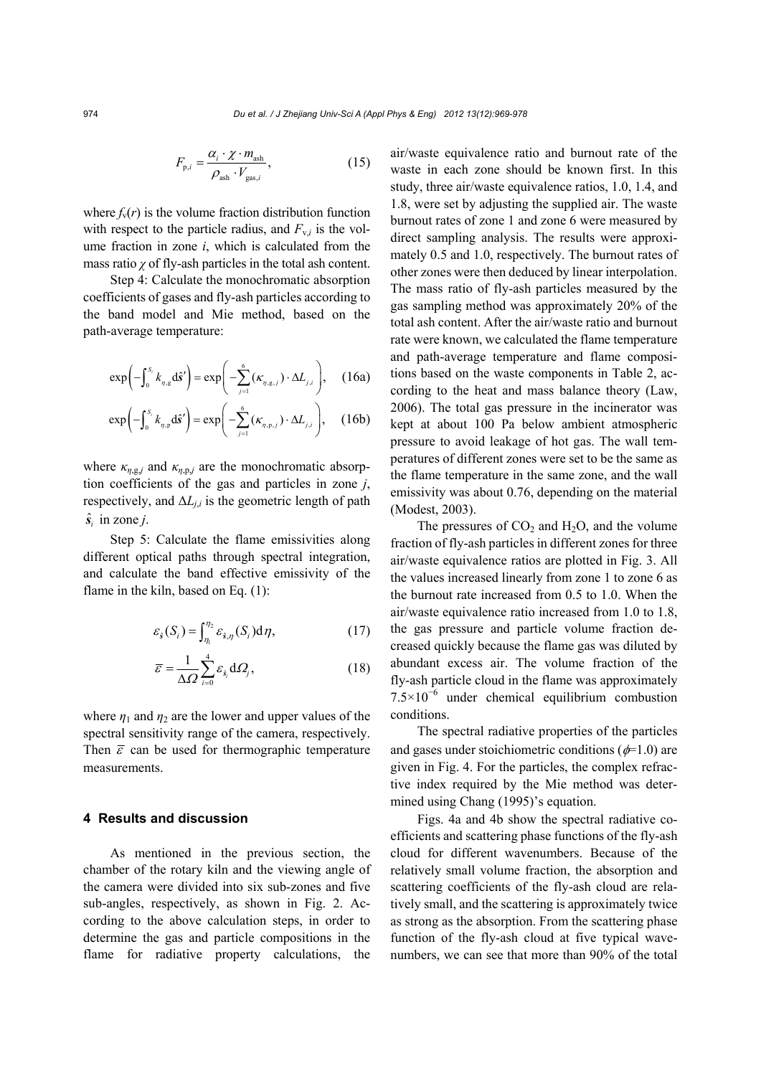$$
F_{\mathbf{p},i} = \frac{\alpha_i \cdot \chi \cdot m_{\text{ash}}}{\rho_{\text{ash}} \cdot V_{\text{gas},i}},
$$
\n(15)

where  $f_v(r)$  is the volume fraction distribution function with respect to the particle radius, and  $F_{v,i}$  is the volume fraction in zone *i*, which is calculated from the mass ratio *χ* of fly-ash particles in the total ash content.

Step 4: Calculate the monochromatic absorption coefficients of gases and fly-ash particles according to the band model and Mie method, based on the path-average temperature:

$$
\exp\left(-\int_0^{S_i} k_{\eta,g} d\hat{\mathbf{s}}'\right) = \exp\left(-\sum_{j=1}^6 (\kappa_{\eta,g,j}) \cdot \Delta L_{j,i}\right), \quad (16a)
$$

$$
\exp\left(-\int_0^{S_i} k_{\eta,\mathfrak{p}} d\hat{\mathbf{s}}'\right) = \exp\left(-\sum_{j=1}^6 \left(\kappa_{\eta,\mathfrak{p},j}\right) \cdot \Delta L_{j,i}\right),\quad (16b)
$$

where  $\kappa_{\eta, g, j}$  and  $\kappa_{\eta, p, j}$  are the monochromatic absorption coefficients of the gas and particles in zone *j*, respectively, and  $\Delta L_{j,i}$  is the geometric length of path  $\hat{s}_i$  in zone *j*.

Step 5: Calculate the flame emissivities along different optical paths through spectral integration, and calculate the band effective emissivity of the flame in the kiln, based on Eq.  $(1)$ :

$$
\varepsilon_{\hat{s}}(S_i) = \int_{\eta_i}^{\eta_2} \varepsilon_{\hat{s},\eta}(S_i) \mathrm{d}\eta,\tag{17}
$$

$$
\overline{\varepsilon} = \frac{1}{\Delta \Omega} \sum_{i=0}^{4} \varepsilon_{\hat{s}_i} d\Omega_j, \qquad (18)
$$

where  $\eta_1$  and  $\eta_2$  are the lower and upper values of the spectral sensitivity range of the camera, respectively. Then  $\bar{\varepsilon}$  can be used for thermographic temperature measurements.

## **4 Results and discussion**

As mentioned in the previous section, the chamber of the rotary kiln and the viewing angle of the camera were divided into six sub-zones and five sub-angles, respectively, as shown in Fig. 2. According to the above calculation steps, in order to determine the gas and particle compositions in the flame for radiative property calculations, the air/waste equivalence ratio and burnout rate of the waste in each zone should be known first. In this study, three air/waste equivalence ratios, 1.0, 1.4, and 1.8, were set by adjusting the supplied air. The waste burnout rates of zone 1 and zone 6 were measured by direct sampling analysis. The results were approximately 0.5 and 1.0, respectively. The burnout rates of other zones were then deduced by linear interpolation. The mass ratio of fly-ash particles measured by the gas sampling method was approximately 20% of the total ash content. After the air/waste ratio and burnout rate were known, we calculated the flame temperature and path-average temperature and flame compositions based on the waste components in Table 2, according to the heat and mass balance theory (Law, 2006). The total gas pressure in the incinerator was kept at about 100 Pa below ambient atmospheric pressure to avoid leakage of hot gas. The wall temperatures of different zones were set to be the same as the flame temperature in the same zone, and the wall emissivity was about 0.76, depending on the material (Modest, 2003).

The pressures of  $CO<sub>2</sub>$  and  $H<sub>2</sub>O$ , and the volume fraction of fly-ash particles in different zones for three air/waste equivalence ratios are plotted in Fig. 3. All the values increased linearly from zone 1 to zone 6 as the burnout rate increased from 0.5 to 1.0. When the air/waste equivalence ratio increased from 1.0 to 1.8, the gas pressure and particle volume fraction decreased quickly because the flame gas was diluted by abundant excess air. The volume fraction of the fly-ash particle cloud in the flame was approximately 7.5×10<sup>−</sup><sup>6</sup> under chemical equilibrium combustion conditions.

The spectral radiative properties of the particles and gases under stoichiometric conditions ( $\phi$ =1.0) are given in Fig. 4. For the particles, the complex refractive index required by the Mie method was determined using Chang (1995)'s equation.

Figs. 4a and 4b show the spectral radiative coefficients and scattering phase functions of the fly-ash cloud for different wavenumbers. Because of the relatively small volume fraction, the absorption and scattering coefficients of the fly-ash cloud are relatively small, and the scattering is approximately twice as strong as the absorption. From the scattering phase function of the fly-ash cloud at five typical wavenumbers, we can see that more than 90% of the total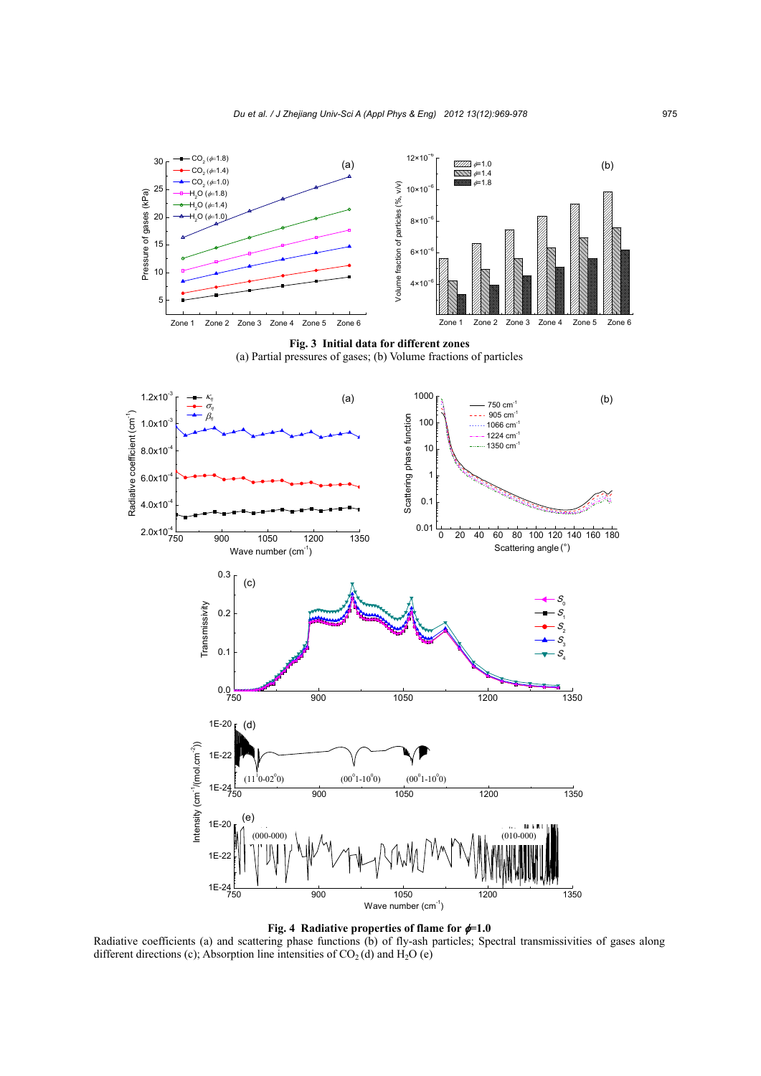







Radiative coefficients (a) and scattering phase functions (b) of fly-ash particles; Spectral transmissivities of gases along different directions (c); Absorption line intensities of  $CO<sub>2</sub>(d)$  and  $H<sub>2</sub>O$  (e)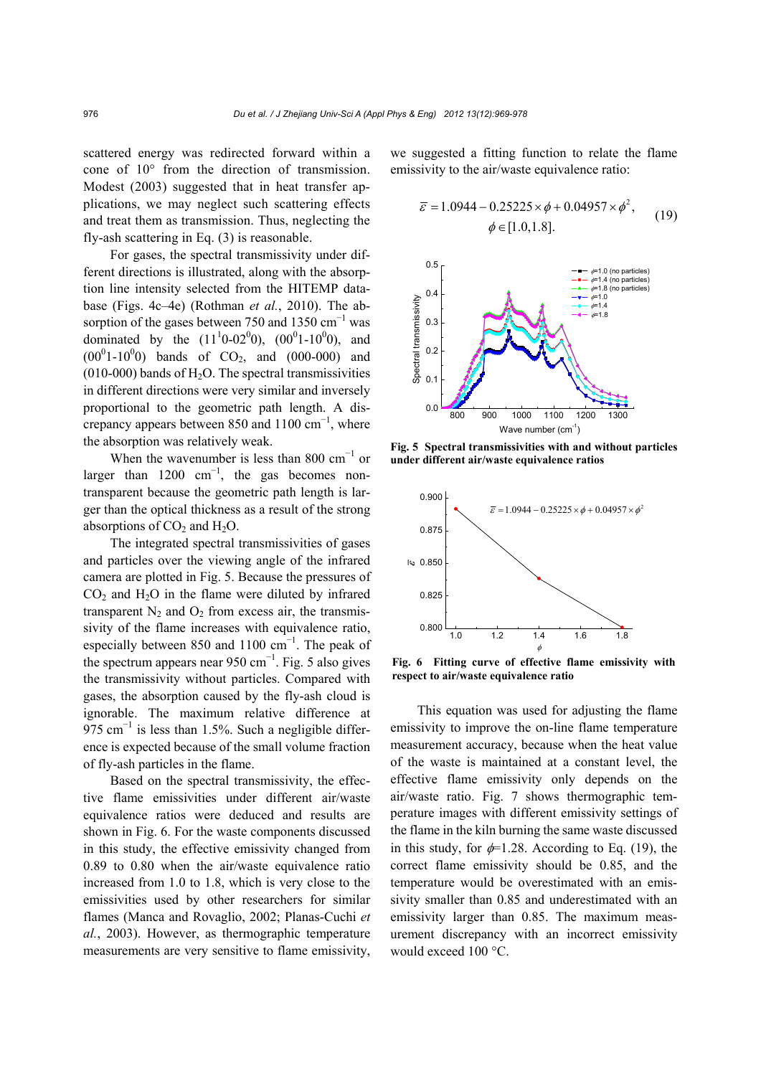scattered energy was redirected forward within a cone of 10° from the direction of transmission. Modest (2003) suggested that in heat transfer applications, we may neglect such scattering effects and treat them as transmission. Thus, neglecting the fly-ash scattering in Eq. (3) is reasonable.

For gases, the spectral transmissivity under different directions is illustrated, along with the absorption line intensity selected from the HITEMP database (Figs. 4c–4e) (Rothman *et al.*, 2010). The absorption of the gases between 750 and 1350  $\text{cm}^{-1}$  was dominated by the  $(11<sup>1</sup>0-02<sup>0</sup>0)$ ,  $(00<sup>0</sup>1-10<sup>0</sup>0)$ , and  $(00^01 - 10^00)$  bands of CO<sub>2</sub>, and  $(000 - 000)$  and  $(010-000)$  bands of H<sub>2</sub>O. The spectral transmissivities in different directions were very similar and inversely proportional to the geometric path length. A discrepancy appears between 850 and  $1100 \text{ cm}^{-1}$ , where the absorption was relatively weak.

When the wavenumber is less than 800  $cm^{-1}$  or larger than  $1200 \text{ cm}^{-1}$ , the gas becomes nontransparent because the geometric path length is larger than the optical thickness as a result of the strong absorptions of  $CO<sub>2</sub>$  and  $H<sub>2</sub>O$ .

The integrated spectral transmissivities of gases and particles over the viewing angle of the infrared camera are plotted in Fig. 5. Because the pressures of  $CO<sub>2</sub>$  and  $H<sub>2</sub>O$  in the flame were diluted by infrared transparent  $N_2$  and  $O_2$  from excess air, the transmissivity of the flame increases with equivalence ratio, especially between 850 and 1100  $cm^{-1}$ . The peak of the spectrum appears near 950 cm<sup>-1</sup>. Fig. 5 also gives the transmissivity without particles. Compared with gases, the absorption caused by the fly-ash cloud is ignorable. The maximum relative difference at 975  $cm^{-1}$  is less than 1.5%. Such a negligible difference is expected because of the small volume fraction of fly-ash particles in the flame.

Based on the spectral transmissivity, the effective flame emissivities under different air/waste equivalence ratios were deduced and results are shown in Fig. 6. For the waste components discussed in this study, the effective emissivity changed from 0.89 to 0.80 when the air/waste equivalence ratio increased from 1.0 to 1.8, which is very close to the emissivities used by other researchers for similar flames (Manca and Rovaglio, 2002; Planas-Cuchi *et al.*, 2003). However, as thermographic temperature measurements are very sensitive to flame emissivity, we suggested a fitting function to relate the flame emissivity to the air/waste equivalence ratio:

$$
\overline{\varepsilon} = 1.0944 - 0.25225 \times \phi + 0.04957 \times \phi^2, \qquad (19)
$$
  
 
$$
\phi \in [1.0, 1.8].
$$



**Fig. 5 Spectral transmissivities with and without particles under different air/waste equivalence ratios**



**Fig. 6 Fitting curve of effective flame emissivity with respect to air/waste equivalence ratio**

This equation was used for adjusting the flame emissivity to improve the on-line flame temperature measurement accuracy, because when the heat value of the waste is maintained at a constant level, the effective flame emissivity only depends on the air/waste ratio. Fig. 7 shows thermographic temperature images with different emissivity settings of the flame in the kiln burning the same waste discussed in this study, for  $\phi$ =1.28. According to Eq. (19), the correct flame emissivity should be 0.85, and the temperature would be overestimated with an emissivity smaller than 0.85 and underestimated with an emissivity larger than 0.85. The maximum measurement discrepancy with an incorrect emissivity would exceed 100 °C.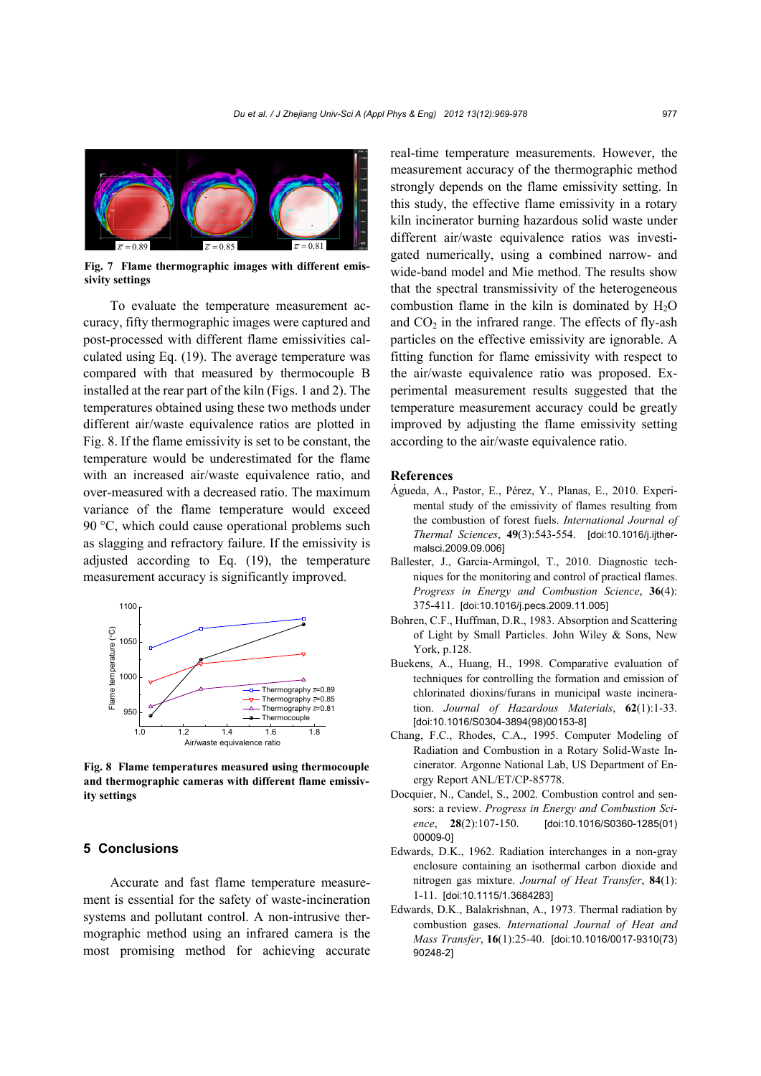

**Fig. 7 Flame thermographic images with different emissivity settings**

To evaluate the temperature measurement accuracy, fifty thermographic images were captured and post-processed with different flame emissivities calculated using Eq. (19). The average temperature was compared with that measured by thermocouple B installed at the rear part of the kiln (Figs. 1 and 2). The temperatures obtained using these two methods under different air/waste equivalence ratios are plotted in Fig. 8. If the flame emissivity is set to be constant, the temperature would be underestimated for the flame with an increased air/waste equivalence ratio, and over-measured with a decreased ratio. The maximum variance of the flame temperature would exceed 90 °C, which could cause operational problems such as slagging and refractory failure. If the emissivity is adjusted according to Eq. (19), the temperature measurement accuracy is significantly improved.



**Fig. 8 Flame temperatures measured using thermocouple and thermographic cameras with different flame emissivity settings**

## **5 Conclusions**

Accurate and fast flame temperature measurement is essential for the safety of waste-incineration systems and pollutant control. A non-intrusive thermographic method using an infrared camera is the most promising method for achieving accurate real-time temperature measurements. However, the measurement accuracy of the thermographic method strongly depends on the flame emissivity setting. In this study, the effective flame emissivity in a rotary kiln incinerator burning hazardous solid waste under different air/waste equivalence ratios was investigated numerically, using a combined narrow- and wide-band model and Mie method. The results show that the spectral transmissivity of the heterogeneous combustion flame in the kiln is dominated by  $H_2O$ and  $CO<sub>2</sub>$  in the infrared range. The effects of fly-ash particles on the effective emissivity are ignorable. A fitting function for flame emissivity with respect to the air/waste equivalence ratio was proposed. Experimental measurement results suggested that the temperature measurement accuracy could be greatly improved by adjusting the flame emissivity setting according to the air/waste equivalence ratio.

#### **References**

- Águeda, A., Pastor, E., Pérez, Y., Planas, E., 2010. Experimental study of the emissivity of flames resulting from the combustion of forest fuels. *International Journal of Thermal Sciences*, **49**(3):543-554. [doi:10.1016/j.ijthermalsci.2009.09.006]
- Ballester, J., Garcia-Armingol, T., 2010. Diagnostic techniques for the monitoring and control of practical flames. *Progress in Energy and Combustion Science*, **36**(4): 375-411. [doi:10.1016/j.pecs.2009.11.005]
- Bohren, C.F., Huffman, D.R., 1983. Absorption and Scattering of Light by Small Particles. John Wiley & Sons, New York, p.128.
- Buekens, A., Huang, H., 1998. Comparative evaluation of techniques for controlling the formation and emission of chlorinated dioxins/furans in municipal waste incineration. *Journal of Hazardous Materials*, **62**(1):1-33. [doi:10.1016/S0304-3894(98)00153-8]
- Chang, F.C., Rhodes, C.A., 1995. Computer Modeling of Radiation and Combustion in a Rotary Solid-Waste Incinerator. Argonne National Lab, US Department of Energy Report ANL/ET/CP-85778.
- Docquier, N., Candel, S., 2002. Combustion control and sensors: a review. *Progress in Energy and Combustion Science*, **28**(2):107-150. [doi:10.1016/S0360-1285(01) 00009-0]
- Edwards, D.K., 1962. Radiation interchanges in a non-gray enclosure containing an isothermal carbon dioxide and nitrogen gas mixture. *Journal of Heat Transfer*, **84**(1): 1-11. [doi:10.1115/1.3684283]
- Edwards, D.K., Balakrishnan, A., 1973. Thermal radiation by combustion gases. *International Journal of Heat and Mass Transfer*, **16**(1):25-40. [doi:10.1016/0017-9310(73) 90248-2]